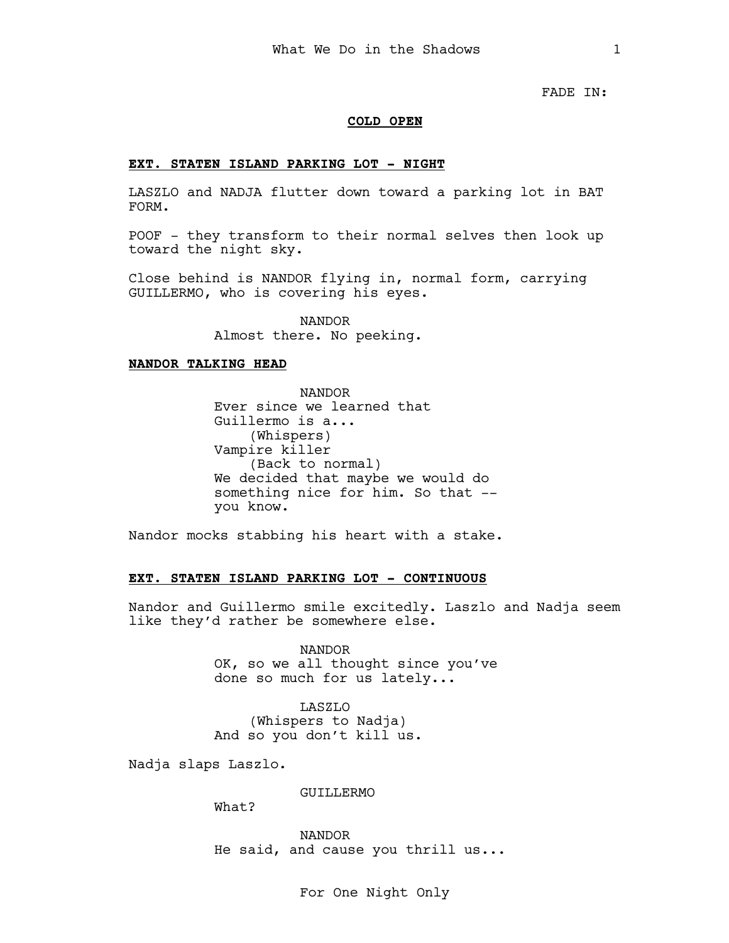FADE IN:

### COLD OPEN

## EXT. STATEN ISLAND PARKING LOT - NIGHT

LASZLO and NADJA flutter down toward a parking lot in BAT FORM.

POOF - they transform to their normal selves then look up toward the night sky.

Close behind is NANDOR flying in, normal form, carrying GUILLERMO, who is covering his eyes.

> NANDOR Almost there. No peeking.

#### NANDOR TALKING HEAD

NANDOR Ever since we learned that Guillermo is a... (Whispers) Vampire killer (Back to normal) We decided that maybe we would do something nice for him. So that - you know.

Nandor mocks stabbing his heart with a stake.

#### EXT. STATEN ISLAND PARKING LOT - CONTINUOUS

Nandor and Guillermo smile excitedly. Laszlo and Nadja seem like they'd rather be somewhere else.

> NANDOR OK, so we all thought since you've done so much for us lately...

LASZLO (Whispers to Nadja) And so you don't kill us.

Nadja slaps Laszlo.

GUILLERMO

What?

NANDOR He said, and cause you thrill us...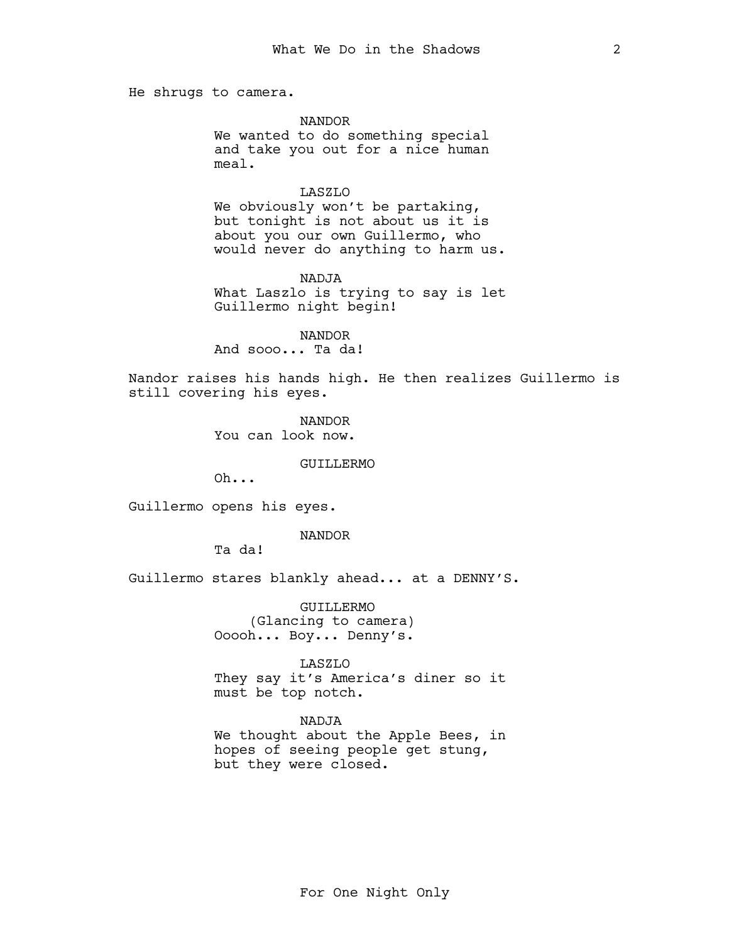He shrugs to camera.

NANDOR

We wanted to do something special and take you out for a nice human meal.

### LASZLO

We obviously won't be partaking, but tonight is not about us it is about you our own Guillermo, who would never do anything to harm us.

**NADJA** What Laszlo is trying to say is let Guillermo night begin!

NANDOR And sooo... Ta da!

Nandor raises his hands high. He then realizes Guillermo is still covering his eyes.

> NANDOR You can look now.

> > GUILLERMO

Oh...

Guillermo opens his eyes.

NANDOR

Ta da!

Guillermo stares blankly ahead... at a DENNY'S.

GUILLERMO (Glancing to camera) Ooooh... Boy... Denny's.

LASZLO

They say it's America's diner so it must be top notch.

NADJA

We thought about the Apple Bees, in hopes of seeing people get stung, but they were closed.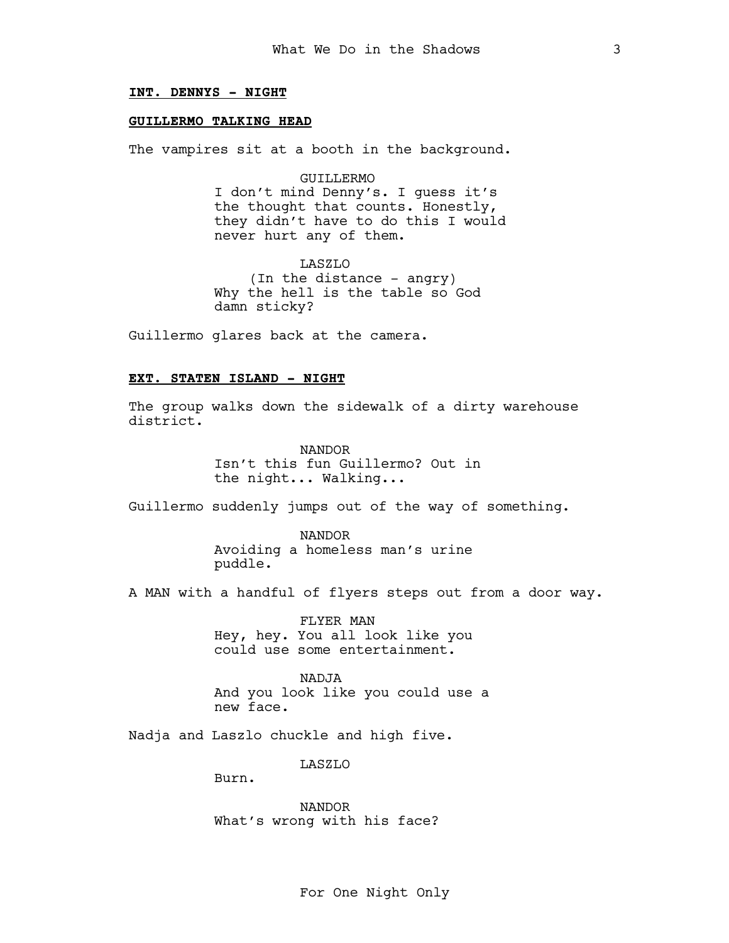## INT. DENNYS - NIGHT

## GUILLERMO TALKING HEAD

The vampires sit at a booth in the background.

GUILLERMO

I don't mind Denny's. I guess it's the thought that counts. Honestly, they didn't have to do this I would never hurt any of them.

LASZLO (In the distance - angry) Why the hell is the table so God damn sticky?

Guillermo glares back at the camera.

### EXT. STATEN ISLAND - NIGHT

The group walks down the sidewalk of a dirty warehouse district.

> NANDOR Isn't this fun Guillermo? Out in the night... Walking...

Guillermo suddenly jumps out of the way of something.

NANDOR Avoiding a homeless man's urine puddle.

A MAN with a handful of flyers steps out from a door way.

FLYER MAN Hey, hey. You all look like you could use some entertainment.

NADJA And you look like you could use a new face.

Nadja and Laszlo chuckle and high five.

LASZLO

Burn.

NANDOR What's wrong with his face?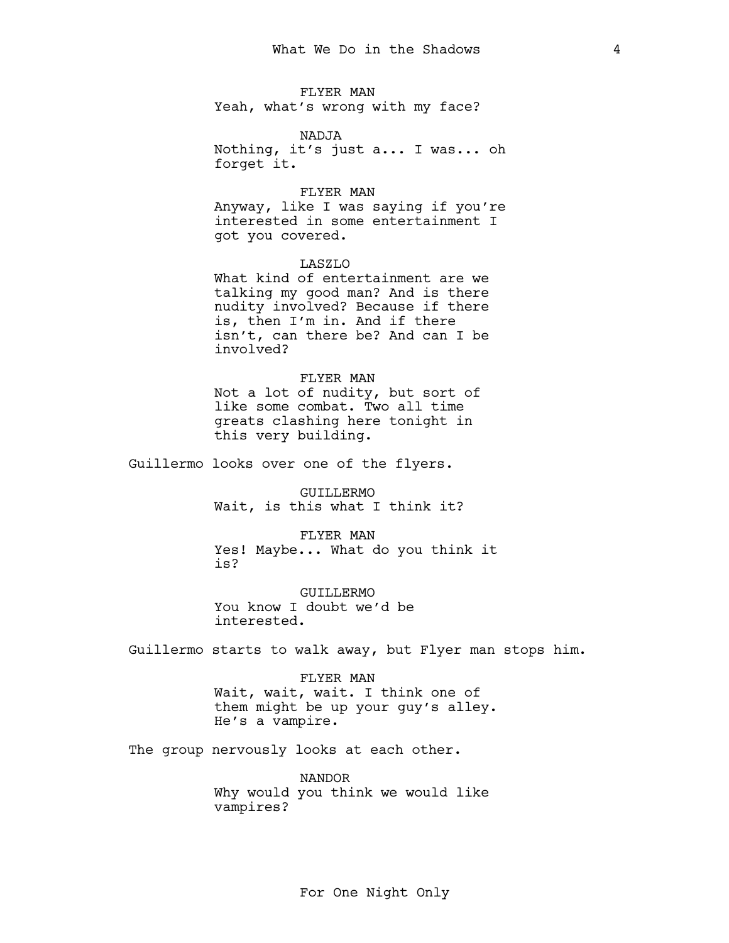FLYER MAN Yeah, what's wrong with my face?

NADJA

Nothing, it's just a... I was... oh forget it.

#### FLYER MAN

Anyway, like I was saying if you're interested in some entertainment I got you covered.

## LASZLO

What kind of entertainment are we talking my good man? And is there nudity involved? Because if there is, then I'm in. And if there isn't, can there be? And can I be involved?

## FLYER MAN

Not a lot of nudity, but sort of like some combat. Two all time greats clashing here tonight in this very building.

Guillermo looks over one of the flyers.

GUILLERMO Wait, is this what I think it?

FLYER MAN Yes! Maybe... What do you think it is?

GUILLERMO You know I doubt we'd be interested.

Guillermo starts to walk away, but Flyer man stops him.

FLYER MAN Wait, wait, wait. I think one of them might be up your guy's alley. He's a vampire.

The group nervously looks at each other.

NANDOR Why would you think we would like vampires?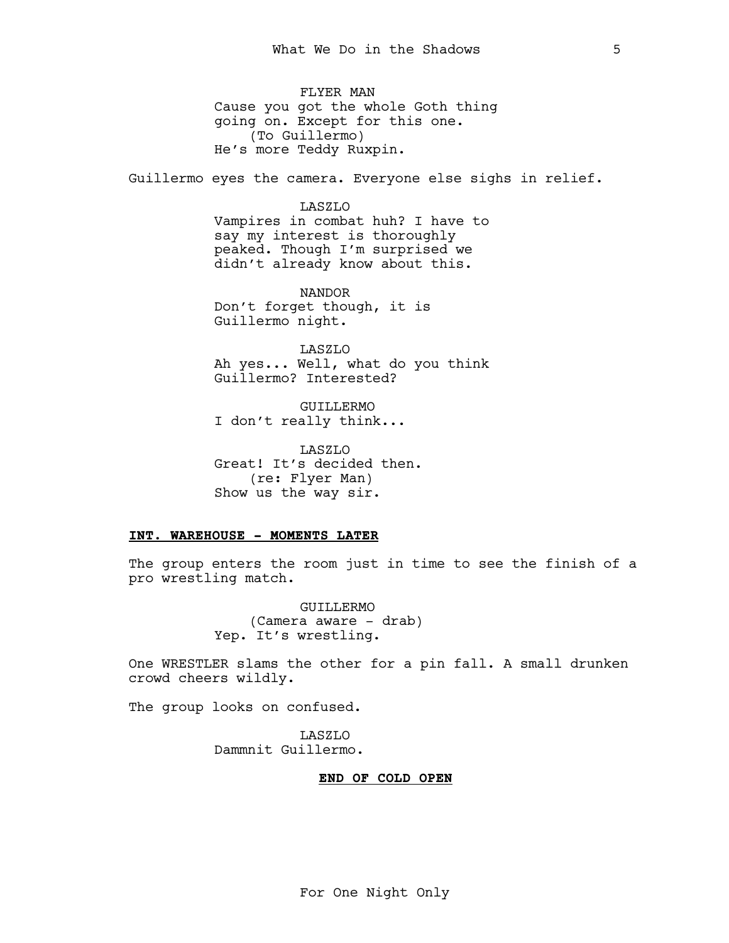FLYER MAN Cause you got the whole Goth thing going on. Except for this one. (To Guillermo) He's more Teddy Ruxpin.

Guillermo eyes the camera. Everyone else sighs in relief.

## LASZLO

Vampires in combat huh? I have to say my interest is thoroughly peaked. Though I'm surprised we didn't already know about this.

NANDOR Don't forget though, it is Guillermo night.

LASZLO Ah yes... Well, what do you think Guillermo? Interested?

GUILLERMO I don't really think...

LASZLO Great! It's decided then. (re: Flyer Man) Show us the way sir.

## INT. WAREHOUSE - MOMENTS LATER

The group enters the room just in time to see the finish of a pro wrestling match.

> GUILLERMO (Camera aware - drab) Yep. It's wrestling.

One WRESTLER slams the other for a pin fall. A small drunken crowd cheers wildly.

The group looks on confused.

LASZLO Dammnit Guillermo.

## END OF COLD OPEN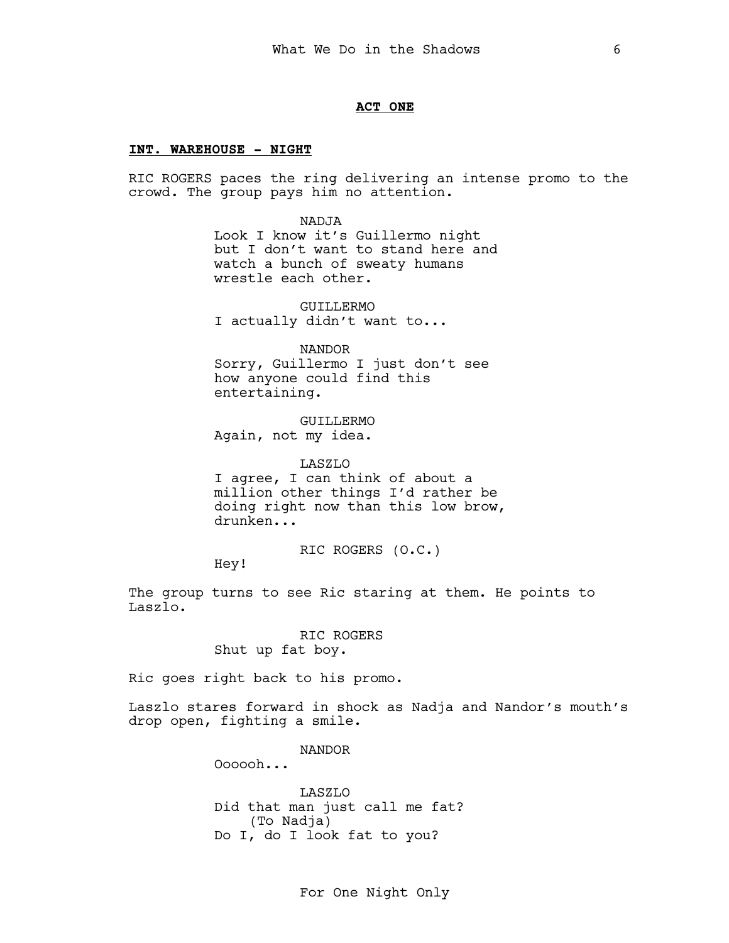## ACT ONE

## INT. WAREHOUSE - NIGHT

RIC ROGERS paces the ring delivering an intense promo to the crowd. The group pays him no attention.

> NADJA Look I know it's Guillermo night but I don't want to stand here and watch a bunch of sweaty humans wrestle each other.

GUILLERMO I actually didn't want to...

NANDOR

Sorry, Guillermo I just don't see how anyone could find this entertaining.

GUILLERMO Again, not my idea.

LASZLO I agree, I can think of about a million other things I'd rather be doing right now than this low brow, drunken...

RIC ROGERS (O.C.)

Hey!

The group turns to see Ric staring at them. He points to Laszlo.

> RIC ROGERS Shut up fat boy.

Ric goes right back to his promo.

Laszlo stares forward in shock as Nadja and Nandor's mouth's drop open, fighting a smile.

NANDOR

Oooooh...

LASZLO Did that man just call me fat? (To Nadja) Do I, do I look fat to you?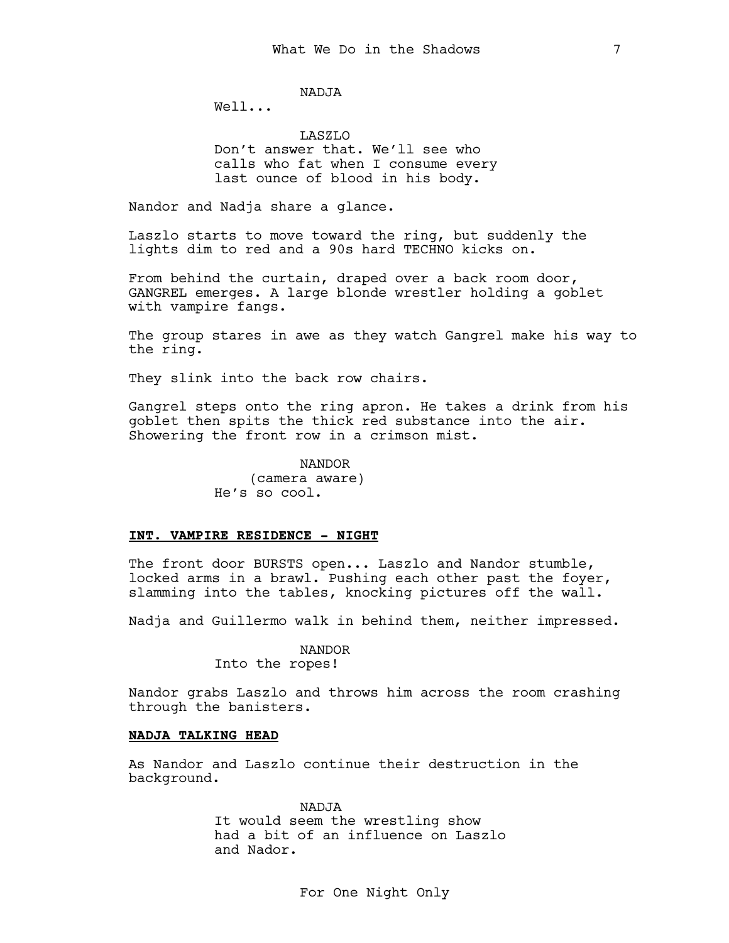NADJA

Well...

LASZLO Don't answer that. We'll see who calls who fat when I consume every last ounce of blood in his body.

Nandor and Nadja share a glance.

Laszlo starts to move toward the ring, but suddenly the lights dim to red and a 90s hard TECHNO kicks on.

From behind the curtain, draped over a back room door, GANGREL emerges. A large blonde wrestler holding a goblet with vampire fangs.

The group stares in awe as they watch Gangrel make his way to the ring.

They slink into the back row chairs.

Gangrel steps onto the ring apron. He takes a drink from his goblet then spits the thick red substance into the air. Showering the front row in a crimson mist.

> NANDOR (camera aware) He's so cool.

#### INT. VAMPIRE RESIDENCE - NIGHT

The front door BURSTS open... Laszlo and Nandor stumble, locked arms in a brawl. Pushing each other past the foyer, slamming into the tables, knocking pictures off the wall.

Nadja and Guillermo walk in behind them, neither impressed.

NANDOR

Into the ropes!

Nandor grabs Laszlo and throws him across the room crashing through the banisters.

## NADJA TALKING HEAD

As Nandor and Laszlo continue their destruction in the background.

> NADJA It would seem the wrestling show had a bit of an influence on Laszlo and Nador.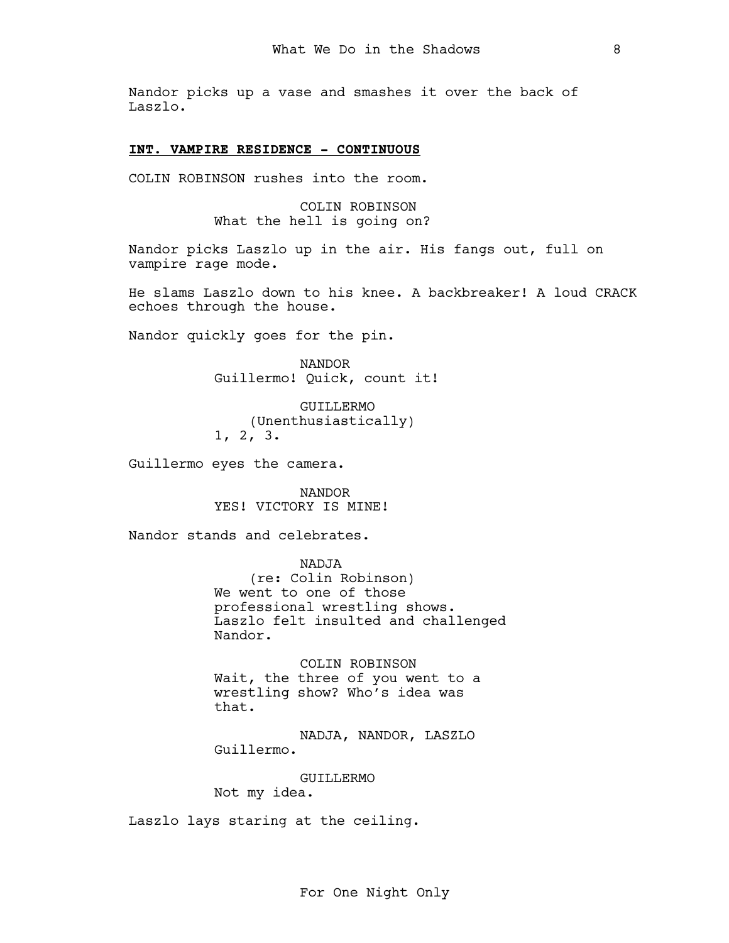Nandor picks up a vase and smashes it over the back of Laszlo.

## INT. VAMPIRE RESIDENCE - CONTINUOUS

COLIN ROBINSON rushes into the room.

COLIN ROBINSON What the hell is going on?

Nandor picks Laszlo up in the air. His fangs out, full on vampire rage mode.

He slams Laszlo down to his knee. A backbreaker! A loud CRACK echoes through the house.

Nandor quickly goes for the pin.

NANDOR Guillermo! Quick, count it!

GUILLERMO (Unenthusiastically) 1, 2, 3.

Guillermo eyes the camera.

NANDOR YES! VICTORY IS MINE!

Nandor stands and celebrates.

NADJA (re: Colin Robinson) We went to one of those professional wrestling shows. Laszlo felt insulted and challenged Nandor.

COLIN ROBINSON Wait, the three of you went to a wrestling show? Who's idea was that.

NADJA, NANDOR, LASZLO Guillermo.

GUILLERMO

Not my idea.

Laszlo lays staring at the ceiling.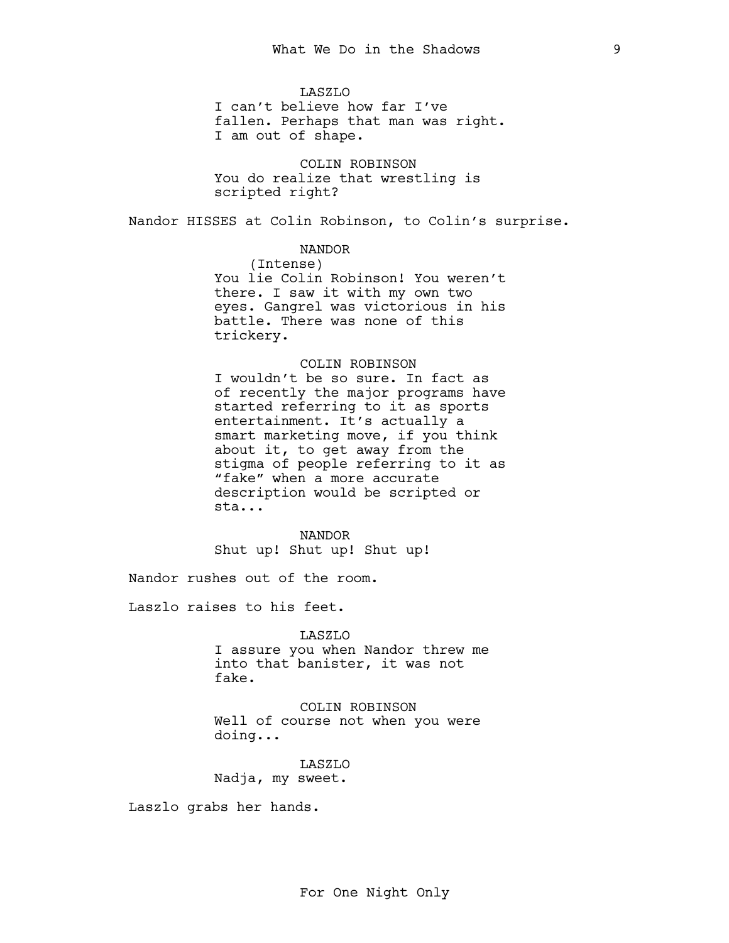LASZLO I can't believe how far I've fallen. Perhaps that man was right. I am out of shape.

COLIN ROBINSON You do realize that wrestling is scripted right?

Nandor HISSES at Colin Robinson, to Colin's surprise.

## NANDOR

(Intense) You lie Colin Robinson! You weren't there. I saw it with my own two eyes. Gangrel was victorious in his battle. There was none of this trickery.

## COLIN ROBINSON

I wouldn't be so sure. In fact as of recently the major programs have started referring to it as sports entertainment. It's actually a smart marketing move, if you think about it, to get away from the stigma of people referring to it as "fake" when a more accurate description would be scripted or sta...

NANDOR Shut up! Shut up! Shut up!

Nandor rushes out of the room.

Laszlo raises to his feet.

# LASZLO

I assure you when Nandor threw me into that banister, it was not fake.

COLIN ROBINSON Well of course not when you were doing...

LASZLO Nadja, my sweet.

Laszlo grabs her hands.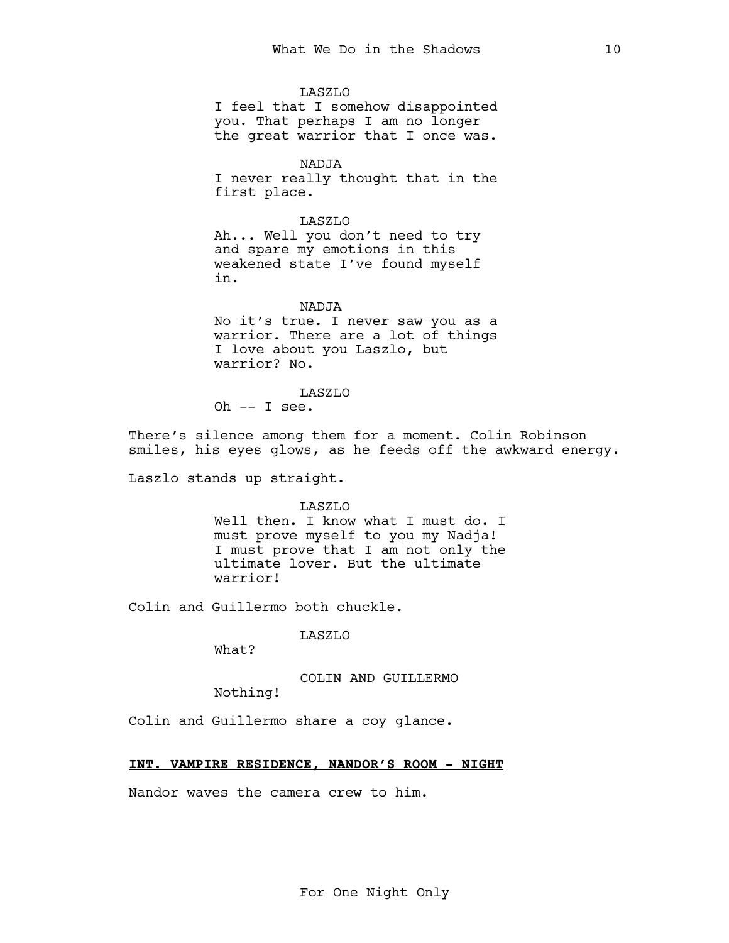LASZLO I feel that I somehow disappointed you. That perhaps I am no longer the great warrior that I once was.

NADJA I never really thought that in the first place.

LASZLO Ah... Well you don't need to try and spare my emotions in this weakened state I've found myself in.

NADJA No it's true. I never saw you as a warrior. There are a lot of things I love about you Laszlo, but warrior? No.

LASZLO Oh  $--$  I see.

There's silence among them for a moment. Colin Robinson smiles, his eyes glows, as he feeds off the awkward energy.

Laszlo stands up straight.

LASZLO

Well then. I know what I must do. I must prove myself to you my Nadja! I must prove that I am not only the ultimate lover. But the ultimate warrior!

Colin and Guillermo both chuckle.

LASZLO

What?

COLIN AND GUILLERMO

Nothing!

Colin and Guillermo share a coy glance.

## INT. VAMPIRE RESIDENCE, NANDOR'S ROOM - NIGHT

Nandor waves the camera crew to him.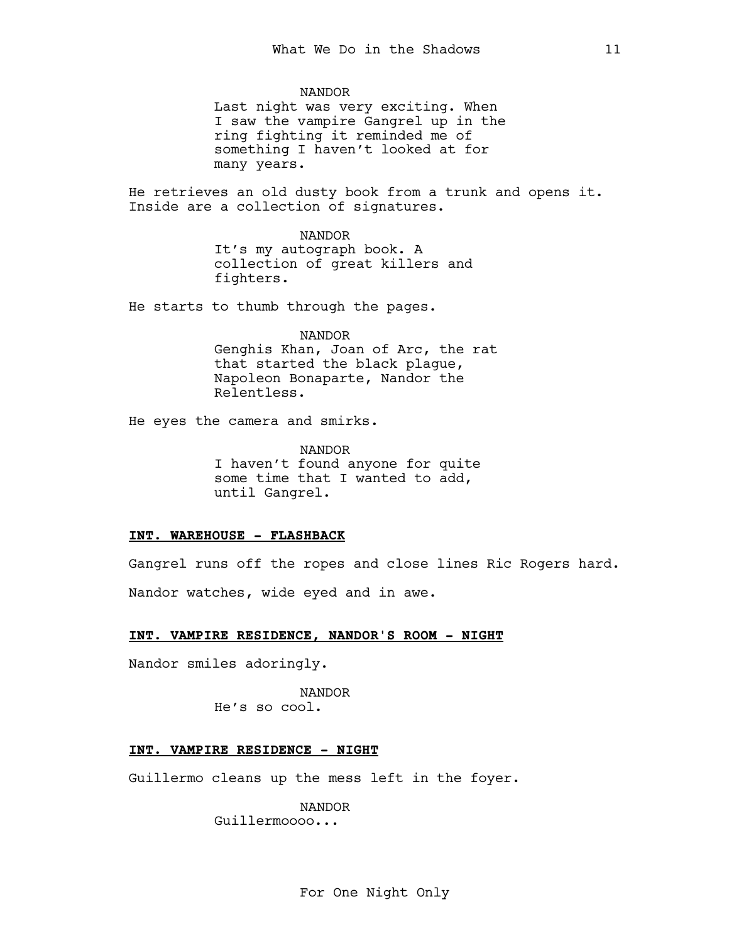NANDOR

Last night was very exciting. When I saw the vampire Gangrel up in the ring fighting it reminded me of something I haven't looked at for many years.

He retrieves an old dusty book from a trunk and opens it. Inside are a collection of signatures.

NANDOR

It's my autograph book. A collection of great killers and fighters.

He starts to thumb through the pages.

NANDOR Genghis Khan, Joan of Arc, the rat that started the black plague, Napoleon Bonaparte, Nandor the Relentless.

He eyes the camera and smirks.

NANDOR I haven't found anyone for quite some time that I wanted to add, until Gangrel.

## INT. WAREHOUSE - FLASHBACK

Gangrel runs off the ropes and close lines Ric Rogers hard. Nandor watches, wide eyed and in awe.

## INT. VAMPIRE RESIDENCE, NANDOR'S ROOM - NIGHT

Nandor smiles adoringly.

NANDOR He's so cool.

## INT. VAMPIRE RESIDENCE - NIGHT

Guillermo cleans up the mess left in the foyer.

NANDOR Guillermoooo...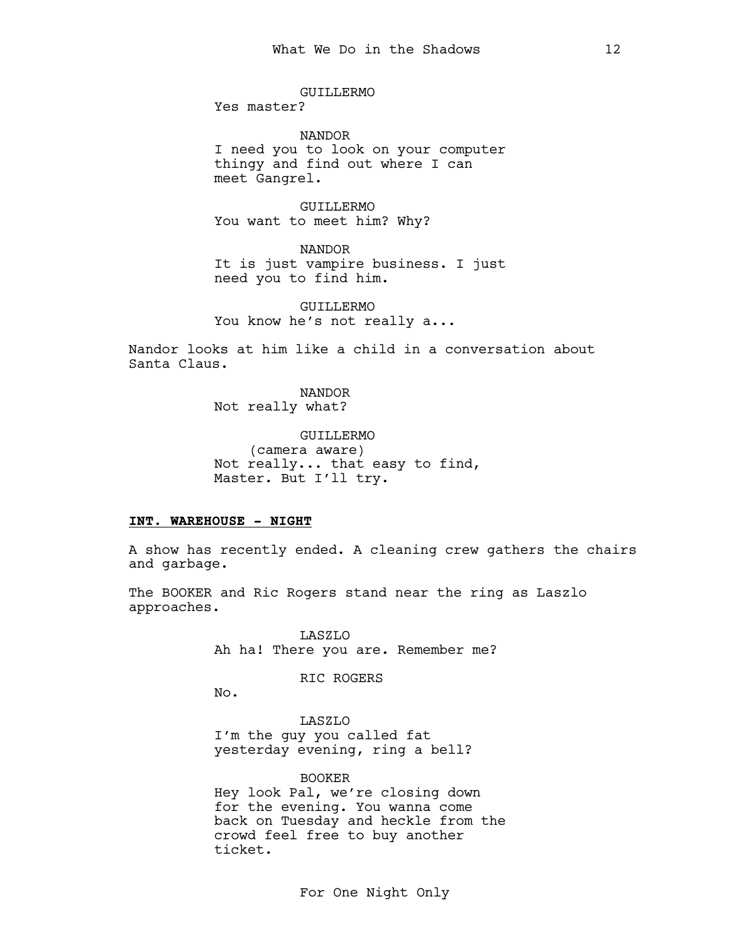GUILLERMO Yes master?

NANDOR I need you to look on your computer thingy and find out where I can meet Gangrel.

GUILLERMO You want to meet him? Why?

NANDOR It is just vampire business. I just need you to find him.

GUILLERMO You know he's not really a...

Nandor looks at him like a child in a conversation about Santa Claus.

> NANDOR Not really what?

GUILLERMO (camera aware) Not really... that easy to find, Master. But I'll try.

### INT. WAREHOUSE - NIGHT

A show has recently ended. A cleaning crew gathers the chairs and garbage.

The BOOKER and Ric Rogers stand near the ring as Laszlo approaches.

> LASZLO Ah ha! There you are. Remember me?

> > RIC ROGERS

No.

LASZLO I'm the guy you called fat yesterday evening, ring a bell?

BOOKER Hey look Pal, we're closing down for the evening. You wanna come back on Tuesday and heckle from the crowd feel free to buy another ticket.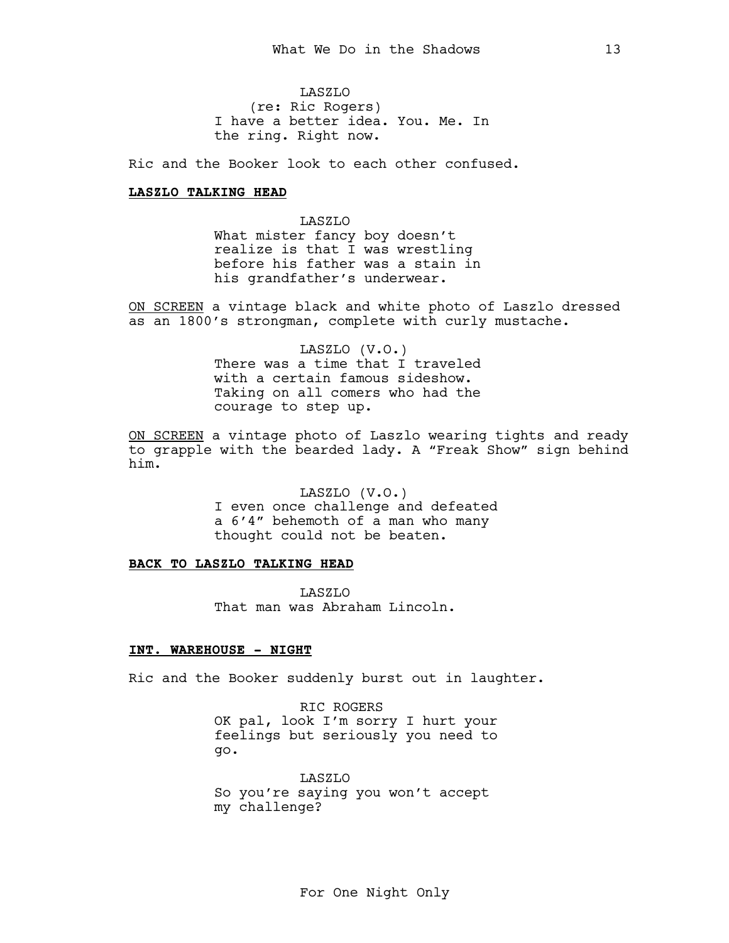LASZLO (re: Ric Rogers) I have a better idea. You. Me. In the ring. Right now.

Ric and the Booker look to each other confused.

## LASZLO TALKING HEAD

LASZLO What mister fancy boy doesn't realize is that I was wrestling before his father was a stain in his grandfather's underwear.

ON SCREEN a vintage black and white photo of Laszlo dressed as an 1800's strongman, complete with curly mustache.

> LASZLO (V.O.) There was a time that I traveled with a certain famous sideshow. Taking on all comers who had the courage to step up.

ON SCREEN a vintage photo of Laszlo wearing tights and ready to grapple with the bearded lady. A "Freak Show" sign behind him.

> LASZLO (V.O.) I even once challenge and defeated a 6'4" behemoth of a man who many thought could not be beaten.

## BACK TO LASZLO TALKING HEAD

LASZLO That man was Abraham Lincoln.

## INT. WAREHOUSE - NIGHT

Ric and the Booker suddenly burst out in laughter.

RIC ROGERS OK pal, look I'm sorry I hurt your feelings but seriously you need to go.

LASZLO So you're saying you won't accept my challenge?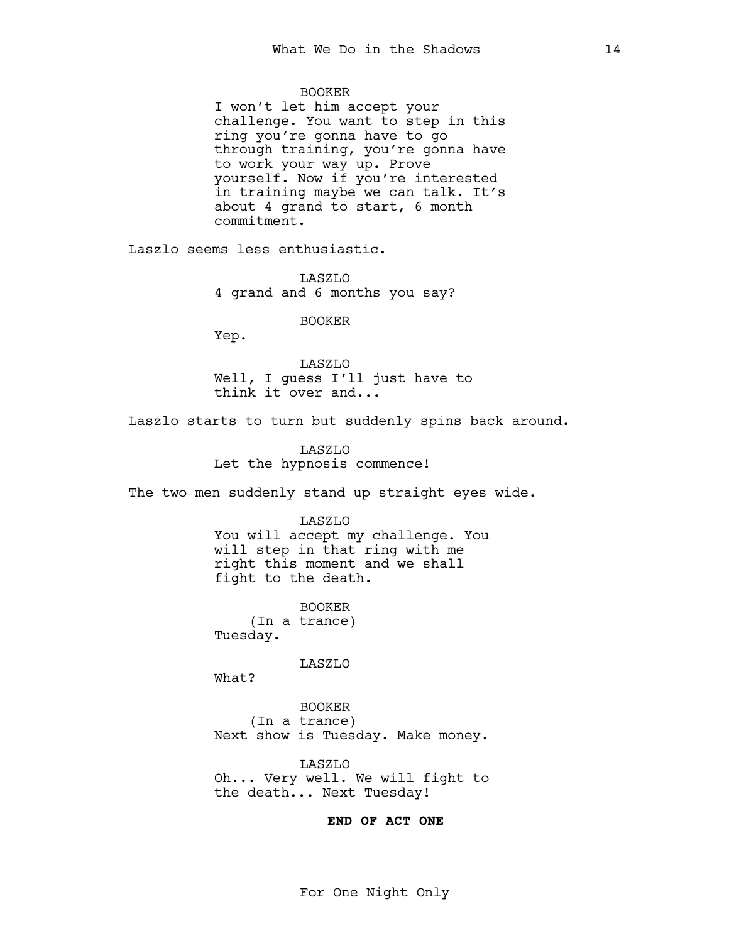### BOOKER

I won't let him accept your challenge. You want to step in this ring you're gonna have to go through training, you're gonna have to work your way up. Prove yourself. Now if you're interested in training maybe we can talk. It's about 4 grand to start, 6 month commitment.

Laszlo seems less enthusiastic.

LASZLO 4 grand and 6 months you say?

## BOOKER

Yep.

LASZLO Well, I guess I'll just have to think it over and...

Laszlo starts to turn but suddenly spins back around.

LASZLO Let the hypnosis commence!

The two men suddenly stand up straight eyes wide.

#### LASZLO

You will accept my challenge. You will step in that ring with me right this moment and we shall fight to the death.

BOOKER (In a trance) Tuesday.

LASZLO

What?

BOOKER (In a trance) Next show is Tuesday. Make money.

LASZLO Oh... Very well. We will fight to the death... Next Tuesday!

## END OF ACT ONE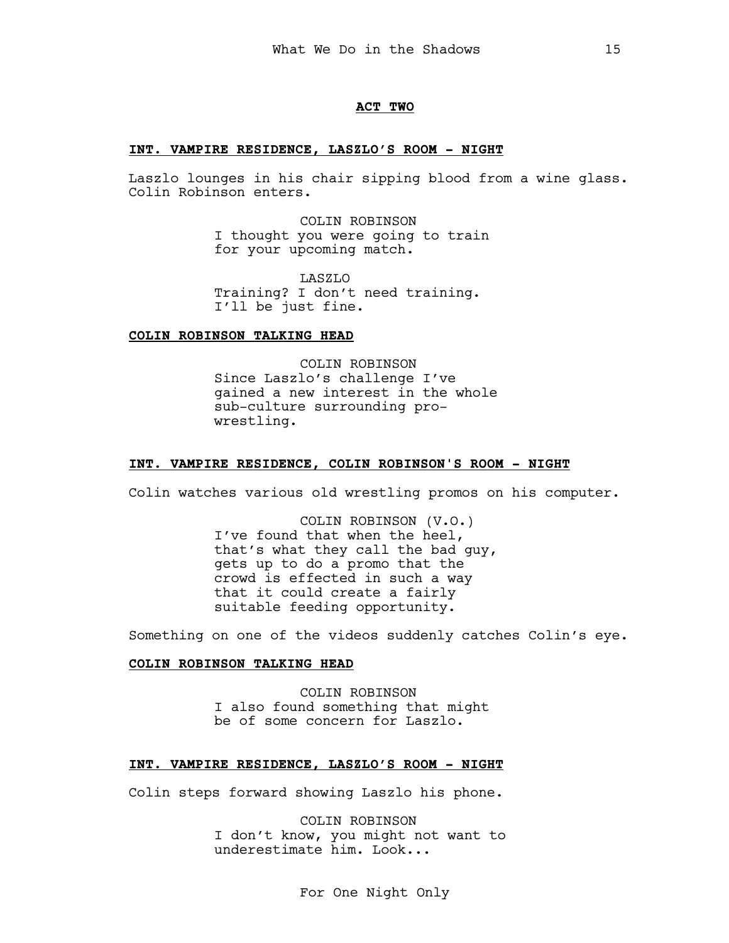### ACT TWO

## INT. VAMPIRE RESIDENCE, LASZLO'S ROOM - NIGHT

Laszlo lounges in his chair sipping blood from a wine glass. Colin Robinson enters.

> COLIN ROBINSON I thought you were going to train for your upcoming match.

LASZLO Training? I don't need training. I'll be just fine.

## COLIN ROBINSON TALKING HEAD

COLIN ROBINSON Since Laszlo's challenge I've gained a new interest in the whole sub-culture surrounding prowrestling.

## INT. VAMPIRE RESIDENCE, COLIN ROBINSON'S ROOM - NIGHT

Colin watches various old wrestling promos on his computer.

COLIN ROBINSON (V.O.) I've found that when the heel, that's what they call the bad guy, gets up to do a promo that the crowd is effected in such a way that it could create a fairly suitable feeding opportunity.

Something on one of the videos suddenly catches Colin's eye.

### COLIN ROBINSON TALKING HEAD

COLIN ROBINSON I also found something that might be of some concern for Laszlo.

#### INT. VAMPIRE RESIDENCE, LASZLO'S ROOM - NIGHT

Colin steps forward showing Laszlo his phone.

COLIN ROBINSON I don't know, you might not want to underestimate him. Look...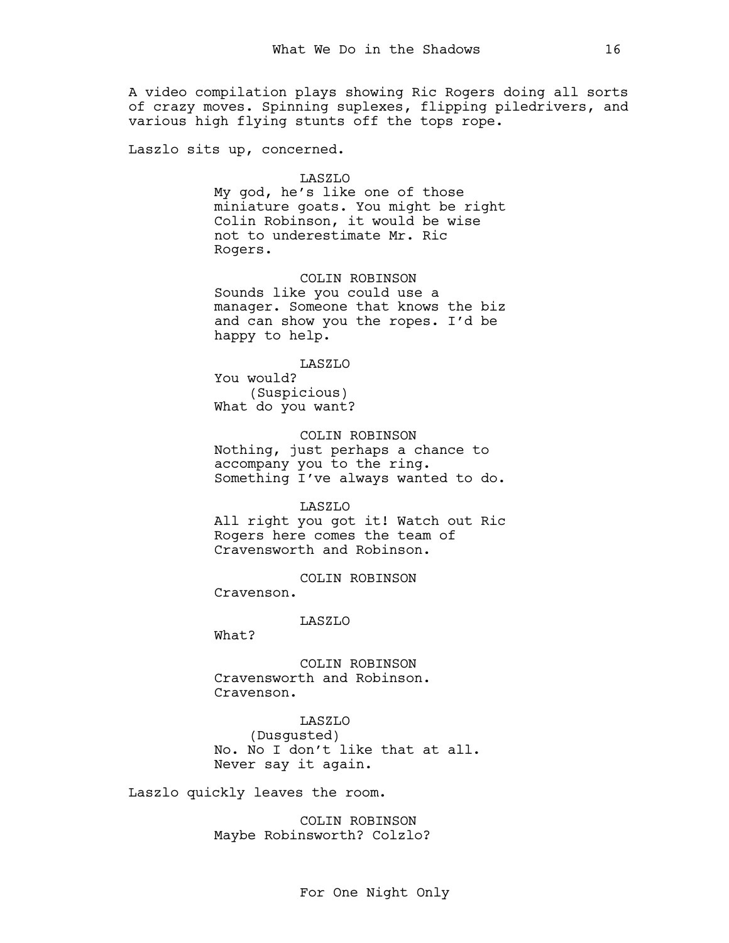A video compilation plays showing Ric Rogers doing all sorts of crazy moves. Spinning suplexes, flipping piledrivers, and various high flying stunts off the tops rope.

Laszlo sits up, concerned.

#### LASZLO

My god, he's like one of those miniature goats. You might be right Colin Robinson, it would be wise not to underestimate Mr. Ric Rogers.

## COLIN ROBINSON

Sounds like you could use a manager. Someone that knows the biz and can show you the ropes. I'd be happy to help.

#### LASZLO

You would? (Suspicious) What do you want?

# COLIN ROBINSON

Nothing, just perhaps a chance to accompany you to the ring. Something I've always wanted to do.

#### LASZLO

All right you got it! Watch out Ric Rogers here comes the team of Cravensworth and Robinson.

COLIN ROBINSON Cravenson.

LASZLO

What?

COLIN ROBINSON Cravensworth and Robinson. Cravenson.

LASZLO (Dusgusted) No. No I don't like that at all. Never say it again.

Laszlo quickly leaves the room.

COLIN ROBINSON Maybe Robinsworth? Colzlo?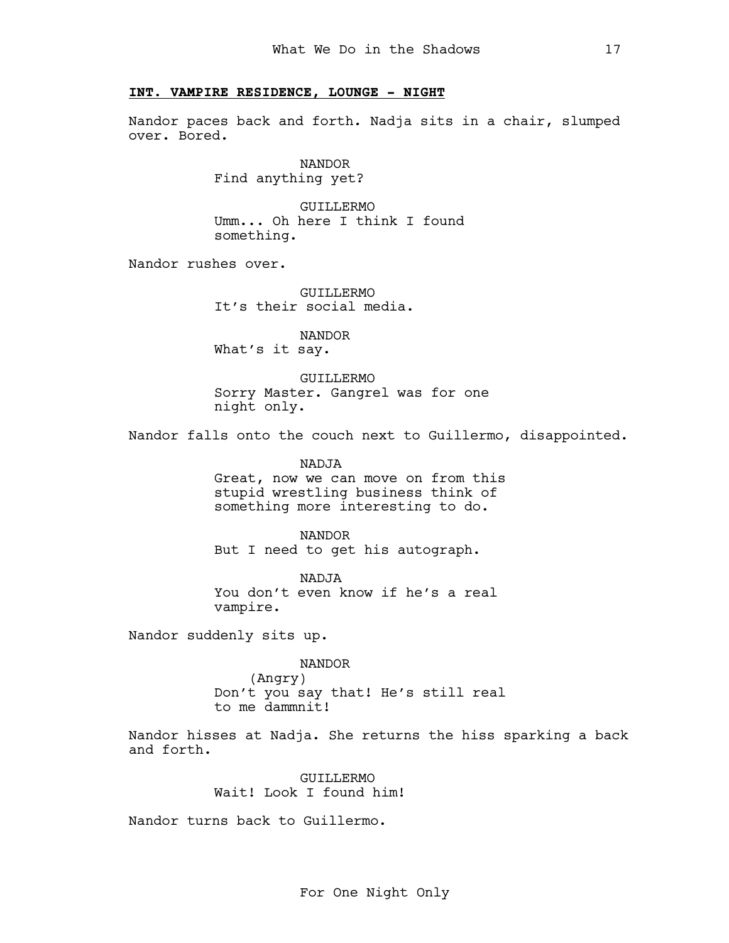## INT. VAMPIRE RESIDENCE, LOUNGE - NIGHT

Nandor paces back and forth. Nadja sits in a chair, slumped over. Bored.

> NANDOR Find anything yet?

GUILLERMO Umm... Oh here I think I found something.

Nandor rushes over.

GUILLERMO It's their social media.

NANDOR What's it say.

GUILLERMO Sorry Master. Gangrel was for one night only.

Nandor falls onto the couch next to Guillermo, disappointed.

NADJA Great, now we can move on from this stupid wrestling business think of something more interesting to do.

NANDOR But I need to get his autograph.

NADJA You don't even know if he's a real vampire.

Nandor suddenly sits up.

NANDOR (Angry) Don't you say that! He's still real to me dammnit!

Nandor hisses at Nadja. She returns the hiss sparking a back and forth.

> GUILLERMO Wait! Look I found him!

Nandor turns back to Guillermo.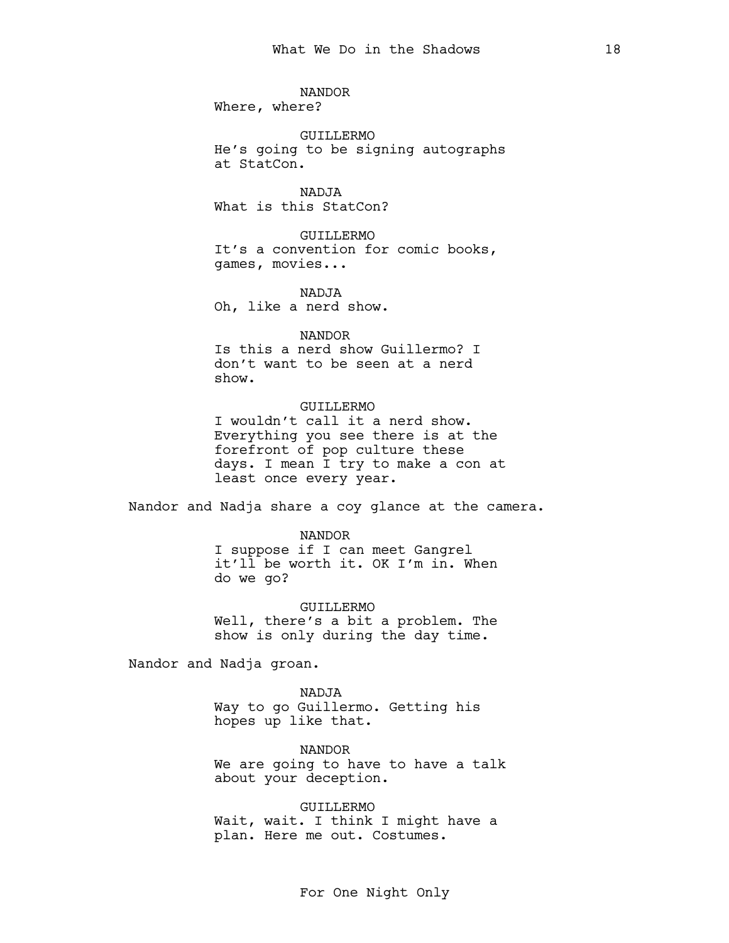NANDOR Where, where?

GUILLERMO He's going to be signing autographs at StatCon.

NADJA What is this StatCon?

GUILLERMO It's a convention for comic books, games, movies...

NADJA Oh, like a nerd show.

#### NANDOR

Is this a nerd show Guillermo? I don't want to be seen at a nerd show.

## GUILLERMO

I wouldn't call it a nerd show. Everything you see there is at the forefront of pop culture these days. I mean I try to make a con at least once every year.

Nandor and Nadja share a coy glance at the camera.

NANDOR I suppose if I can meet Gangrel it'll be worth it. OK I'm in. When do we go?

GUILLERMO Well, there's a bit a problem. The show is only during the day time.

Nandor and Nadja groan.

NADJA Way to go Guillermo. Getting his hopes up like that.

NANDOR We are going to have to have a talk about your deception.

GUILLERMO Wait, wait. I think I might have a plan. Here me out. Costumes.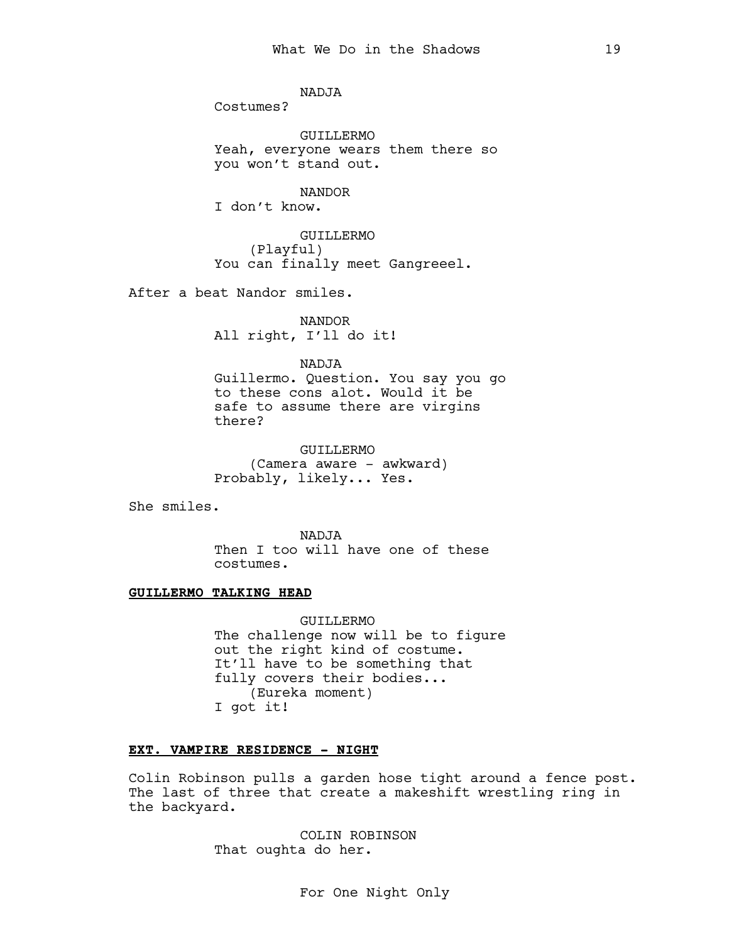NADJA

Costumes?

GUILLERMO Yeah, everyone wears them there so you won't stand out.

NANDOR

I don't know.

GUILLERMO (Playful) You can finally meet Gangreeel.

After a beat Nandor smiles.

NANDOR All right, I'll do it!

NADJA

Guillermo. Question. You say you go to these cons alot. Would it be safe to assume there are virgins there?

GUILLERMO (Camera aware - awkward) Probably, likely... Yes.

She smiles.

NADJA Then I too will have one of these costumes.

## GUILLERMO TALKING HEAD

GUILLERMO The challenge now will be to figure out the right kind of costume. It'll have to be something that fully covers their bodies... (Eureka moment) I got it!

## EXT. VAMPIRE RESIDENCE - NIGHT

Colin Robinson pulls a garden hose tight around a fence post. The last of three that create a makeshift wrestling ring in the backyard.

> COLIN ROBINSON That oughta do her.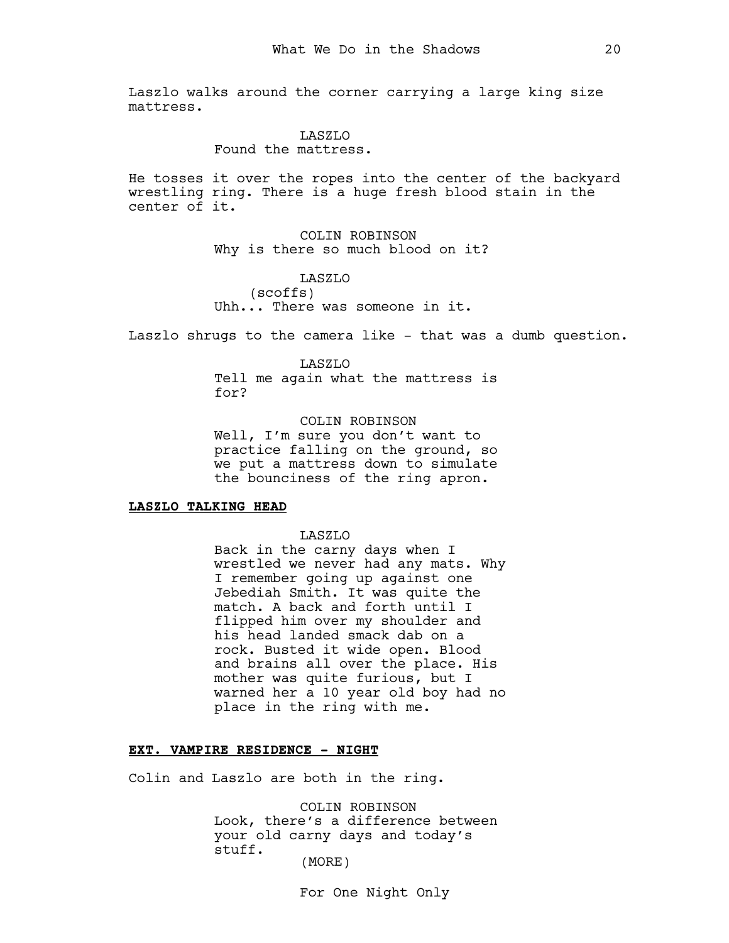Laszlo walks around the corner carrying a large king size mattress.

#### LASZLO

Found the mattress.

He tosses it over the ropes into the center of the backyard wrestling ring. There is a huge fresh blood stain in the center of it.

> COLIN ROBINSON Why is there so much blood on it?

## LASZLO (scoffs) Uhh... There was someone in it.

Laszlo shrugs to the camera like - that was a dumb question.

#### LASZLO

Tell me again what the mattress is for?

COLIN ROBINSON Well, I'm sure you don't want to practice falling on the ground, so we put a mattress down to simulate the bounciness of the ring apron.

## LASZLO TALKING HEAD

LASZLO

Back in the carny days when I wrestled we never had any mats. Why I remember going up against one Jebediah Smith. It was quite the match. A back and forth until I flipped him over my shoulder and his head landed smack dab on a rock. Busted it wide open. Blood and brains all over the place. His mother was quite furious, but I warned her a 10 year old boy had no place in the ring with me.

## EXT. VAMPIRE RESIDENCE - NIGHT

Colin and Laszlo are both in the ring.

COLIN ROBINSON Look, there's a difference between your old carny days and today's stuff. (MORE)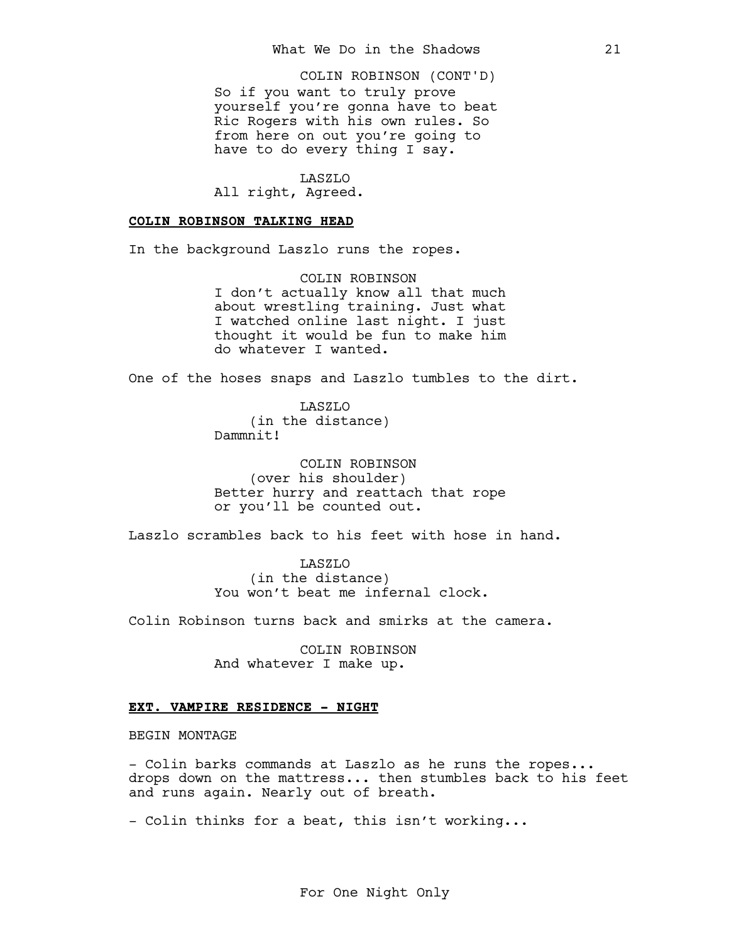So if you want to truly prove yourself you're gonna have to beat Ric Rogers with his own rules. So from here on out you're going to have to do every thing I say. COLIN ROBINSON (CONT'D)

LASZLO All right, Agreed.

#### COLIN ROBINSON TALKING HEAD

In the background Laszlo runs the ropes.

COLIN ROBINSON I don't actually know all that much about wrestling training. Just what I watched online last night. I just thought it would be fun to make him do whatever I wanted.

One of the hoses snaps and Laszlo tumbles to the dirt.

LASZLO (in the distance) Dammnit!

COLIN ROBINSON (over his shoulder) Better hurry and reattach that rope or you'll be counted out.

Laszlo scrambles back to his feet with hose in hand.

LASZLO (in the distance) You won't beat me infernal clock.

Colin Robinson turns back and smirks at the camera.

COLIN ROBINSON And whatever I make up.

### EXT. VAMPIRE RESIDENCE - NIGHT

BEGIN MONTAGE

- Colin barks commands at Laszlo as he runs the ropes... drops down on the mattress... then stumbles back to his feet and runs again. Nearly out of breath.

- Colin thinks for a beat, this isn't working...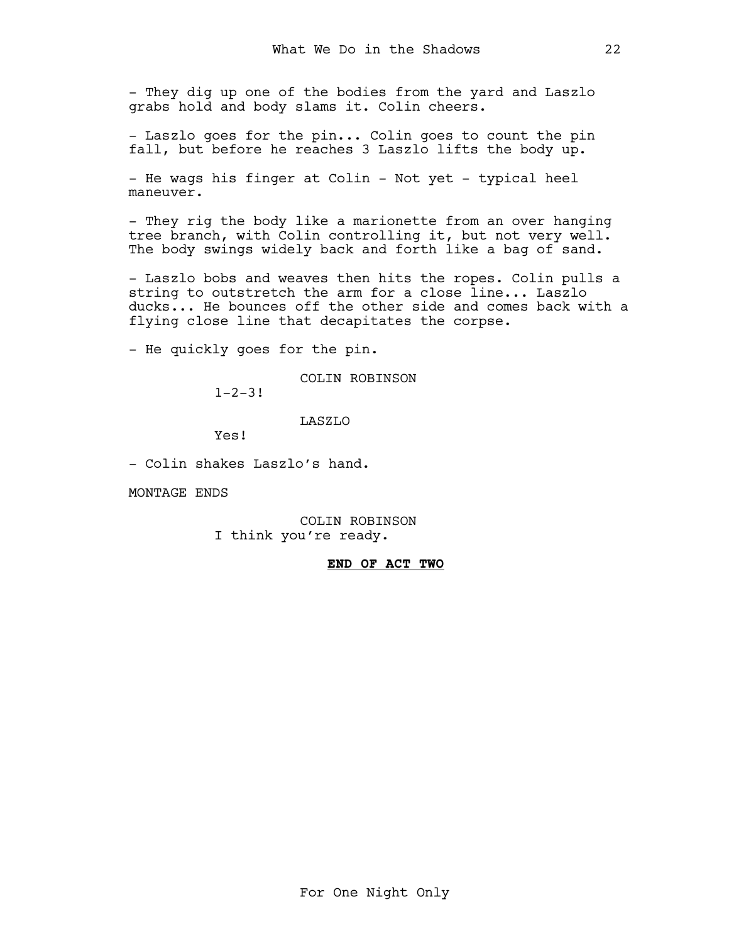- They dig up one of the bodies from the yard and Laszlo grabs hold and body slams it. Colin cheers.

- Laszlo goes for the pin... Colin goes to count the pin fall, but before he reaches 3 Laszlo lifts the body up.

- He wags his finger at Colin - Not yet - typical heel maneuver.

- They rig the body like a marionette from an over hanging tree branch, with Colin controlling it, but not very well. The body swings widely back and forth like a bag of sand.

- Laszlo bobs and weaves then hits the ropes. Colin pulls a string to outstretch the arm for a close line... Laszlo ducks... He bounces off the other side and comes back with a flying close line that decapitates the corpse.

- He quickly goes for the pin.

COLIN ROBINSON

 $1 - 2 - 3!$ 

## LASZLO

Yes!

- Colin shakes Laszlo's hand.

MONTAGE ENDS

COLIN ROBINSON I think you're ready.

## END OF ACT TWO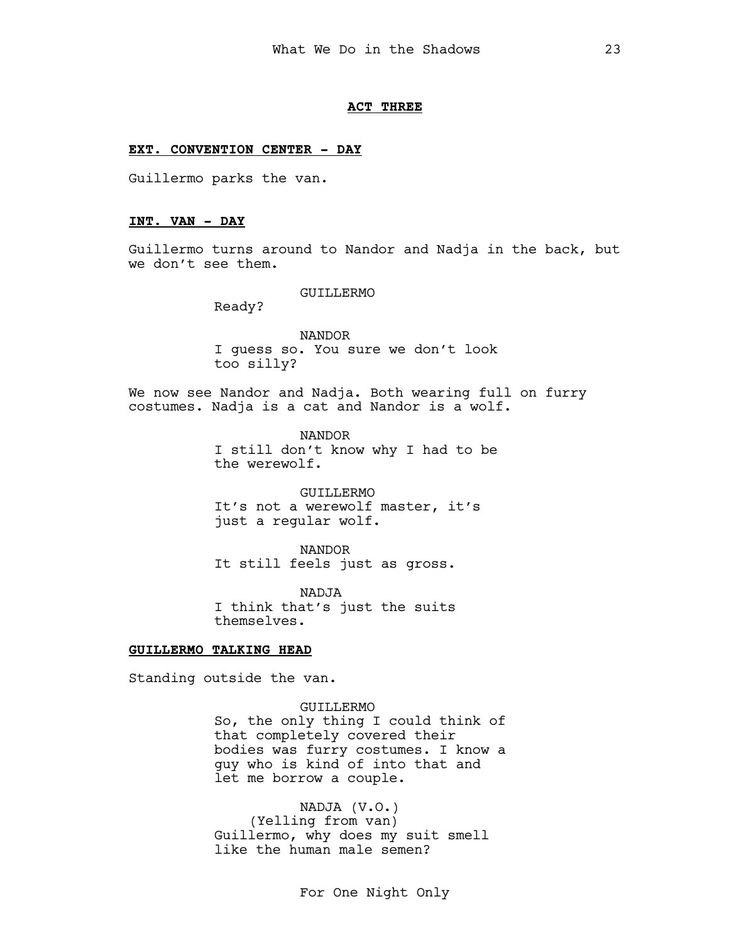#### ACT THREE

## EXT. CONVENTION CENTER - DAY

Guillermo parks the van.

## INT. VAN - DAY

Guillermo turns around to Nandor and Nadja in the back, but we don't see them.

GUILLERMO

Ready?

NANDOR I guess so. You sure we don't look too silly?

We now see Nandor and Nadja. Both wearing full on furry costumes. Nadja is a cat and Nandor is a wolf.

> NANDOR I still don't know why I had to be the werewolf.

GUILLERMO It's not a werewolf master, it's just a regular wolf.

NANDOR It still feels just as gross.

NADJA I think that's just the suits themselves.

## GUILLERMO TALKING HEAD

Standing outside the van.

GUILLERMO

So, the only thing I could think of that completely covered their bodies was furry costumes. I know a guy who is kind of into that and let me borrow a couple.

NADJA (V.O.) (Yelling from van) Guillermo, why does my suit smell like the human male semen?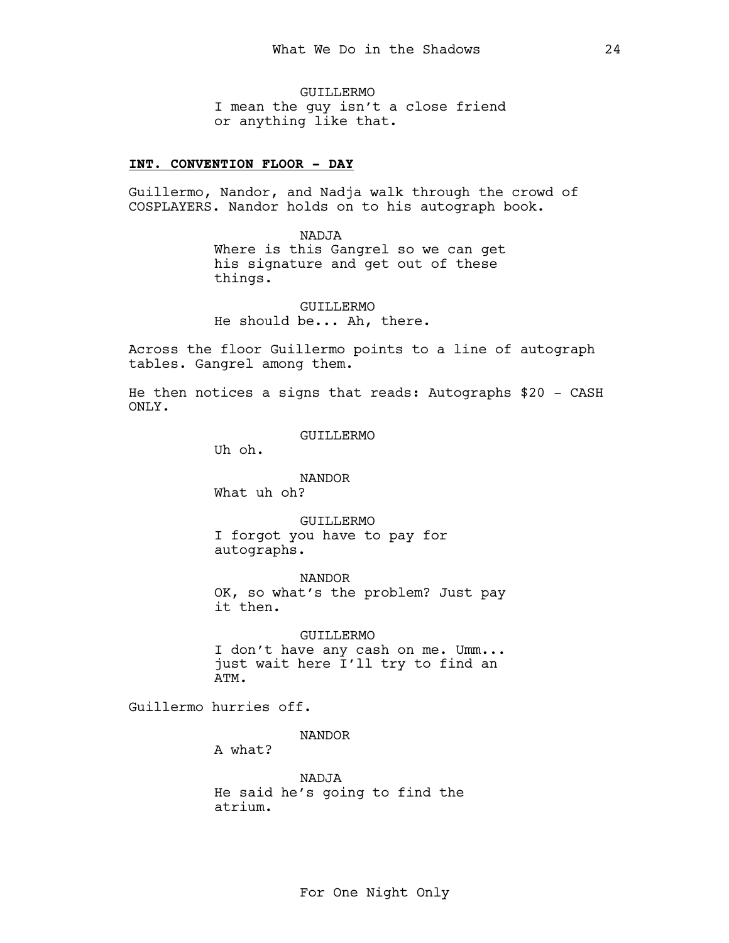GUILLERMO I mean the guy isn't a close friend or anything like that.

## INT. CONVENTION FLOOR - DAY

Guillermo, Nandor, and Nadja walk through the crowd of COSPLAYERS. Nandor holds on to his autograph book.

> NADJA Where is this Gangrel so we can get his signature and get out of these things.

GUILLERMO He should be... Ah, there.

Across the floor Guillermo points to a line of autograph tables. Gangrel among them.

He then notices a signs that reads: Autographs \$20 - CASH ONLY.

GUILLERMO

Uh oh.

NANDOR What uh oh?

GUILLERMO I forgot you have to pay for autographs.

NANDOR OK, so what's the problem? Just pay it then.

GUILLERMO I don't have any cash on me. Umm... just wait here I'll try to find an ATM.

Guillermo hurries off.

NANDOR

A what?

NADJA He said he's going to find the atrium.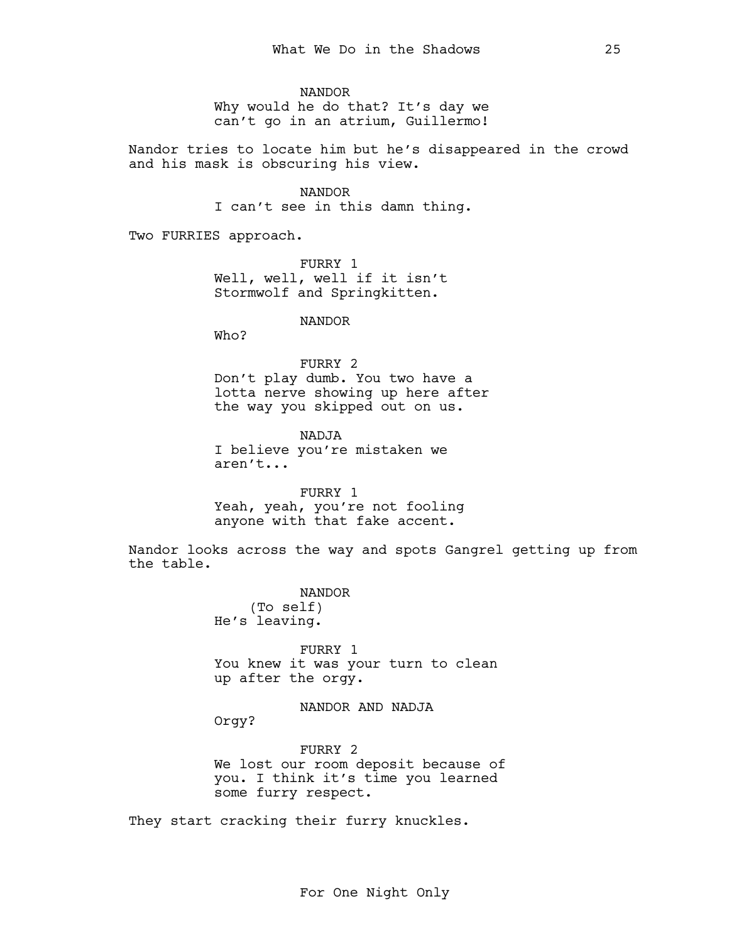NANDOR Why would he do that? It's day we can't go in an atrium, Guillermo!

Nandor tries to locate him but he's disappeared in the crowd and his mask is obscuring his view.

> NANDOR I can't see in this damn thing.

Two FURRIES approach.

FURRY 1 Well, well, well if it isn't Stormwolf and Springkitten.

NANDOR

Who?

## FURRY 2

Don't play dumb. You two have a lotta nerve showing up here after the way you skipped out on us.

NADJA I believe you're mistaken we aren't...

FURRY 1 Yeah, yeah, you're not fooling anyone with that fake accent.

Nandor looks across the way and spots Gangrel getting up from the table.

> NANDOR (To self) He's leaving.

FURRY 1 You knew it was your turn to clean up after the orgy.

NANDOR AND NADJA

Orgy?

FURRY 2 We lost our room deposit because of you. I think it's time you learned some furry respect.

They start cracking their furry knuckles.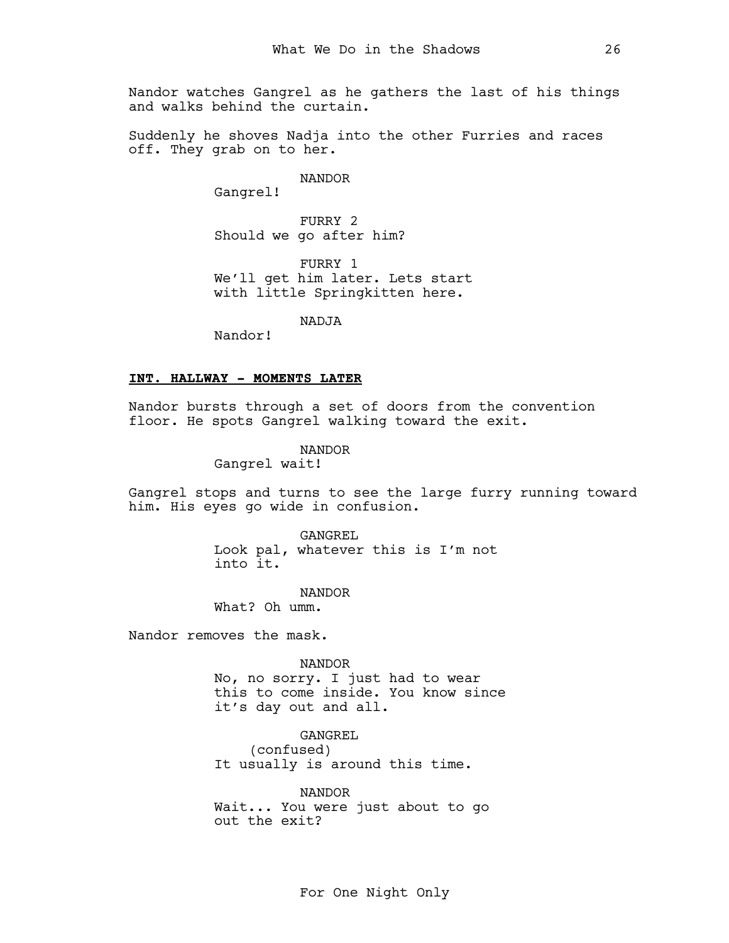Nandor watches Gangrel as he gathers the last of his things and walks behind the curtain.

Suddenly he shoves Nadja into the other Furries and races off. They grab on to her.

NANDOR

Gangrel!

FURRY 2 Should we go after him?

FURRY 1 We'll get him later. Lets start with little Springkitten here.

NADJA

Nandor!

## INT. HALLWAY - MOMENTS LATER

Nandor bursts through a set of doors from the convention floor. He spots Gangrel walking toward the exit.

NANDOR

Gangrel wait!

Gangrel stops and turns to see the large furry running toward him. His eyes go wide in confusion.

> GANGREL Look pal, whatever this is I'm not into it.

> > NANDOR

What? Oh umm.

Nandor removes the mask.

NANDOR No, no sorry. I just had to wear this to come inside. You know since it's day out and all.

GANGREL (confused) It usually is around this time.

NANDOR Wait... You were just about to go out the exit?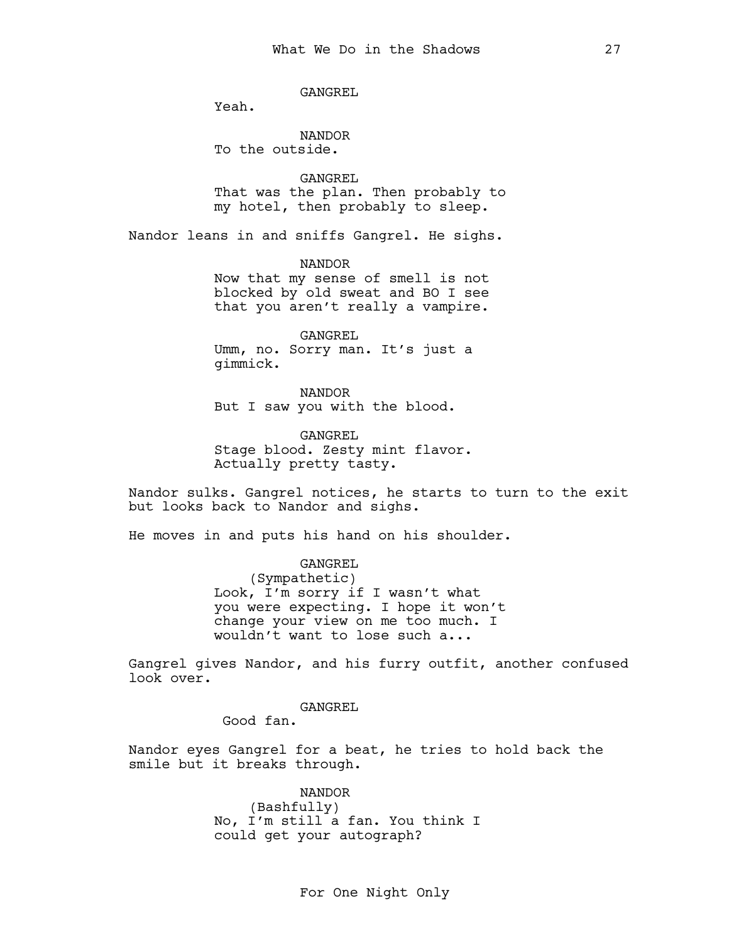GANGREL

Yeah.

NANDOR To the outside.

GANGREL That was the plan. Then probably to my hotel, then probably to sleep.

Nandor leans in and sniffs Gangrel. He sighs.

NANDOR Now that my sense of smell is not blocked by old sweat and BO I see that you aren't really a vampire.

GANGREL Umm, no. Sorry man. It's just a gimmick.

NANDOR But I saw you with the blood.

GANGREL Stage blood. Zesty mint flavor. Actually pretty tasty.

Nandor sulks. Gangrel notices, he starts to turn to the exit but looks back to Nandor and sighs.

He moves in and puts his hand on his shoulder.

GANGREL (Sympathetic) Look, I'm sorry if I wasn't what you were expecting. I hope it won't change your view on me too much. I wouldn't want to lose such a...

Gangrel gives Nandor, and his furry outfit, another confused look over.

> GANGREL Good fan.

Nandor eyes Gangrel for a beat, he tries to hold back the smile but it breaks through.

> NANDOR (Bashfully) No, I'm still a fan. You think I could get your autograph?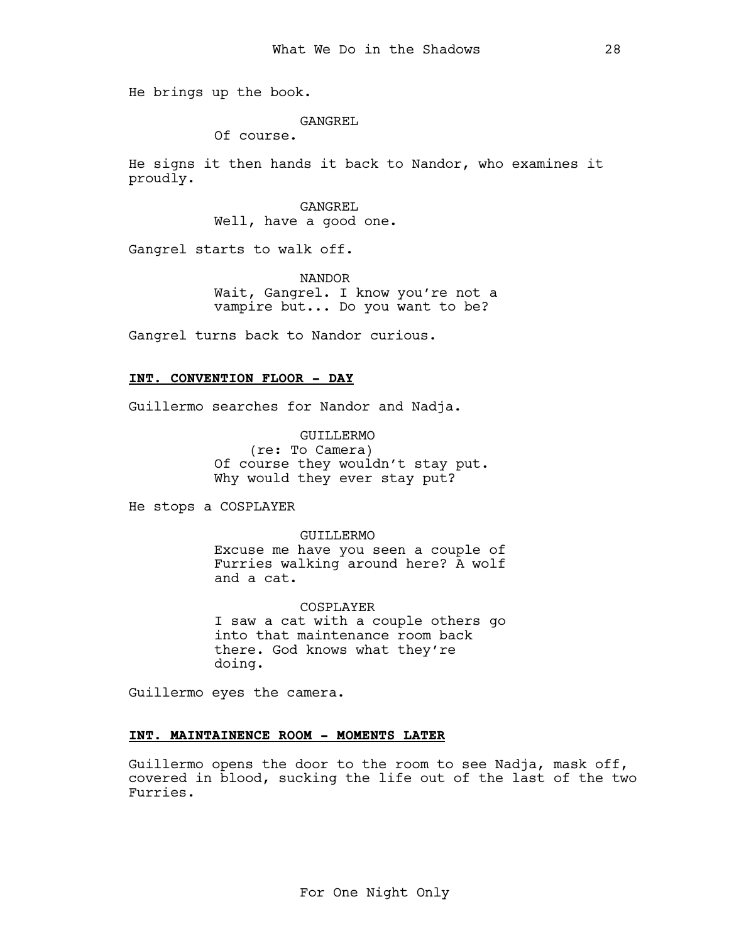He brings up the book.

## GANGREL

Of course.

He signs it then hands it back to Nandor, who examines it proudly.

> GANGREL Well, have a good one.

Gangrel starts to walk off.

NANDOR Wait, Gangrel. I know you're not a vampire but... Do you want to be?

Gangrel turns back to Nandor curious.

### INT. CONVENTION FLOOR - DAY

Guillermo searches for Nandor and Nadja.

GUILLERMO (re: To Camera) Of course they wouldn't stay put. Why would they ever stay put?

He stops a COSPLAYER

GUILLERMO

Excuse me have you seen a couple of Furries walking around here? A wolf and a cat.

COSPLAYER I saw a cat with a couple others go into that maintenance room back there. God knows what they're doing.

Guillermo eyes the camera.

#### INT. MAINTAINENCE ROOM - MOMENTS LATER

Guillermo opens the door to the room to see Nadja, mask off, covered in blood, sucking the life out of the last of the two Furries.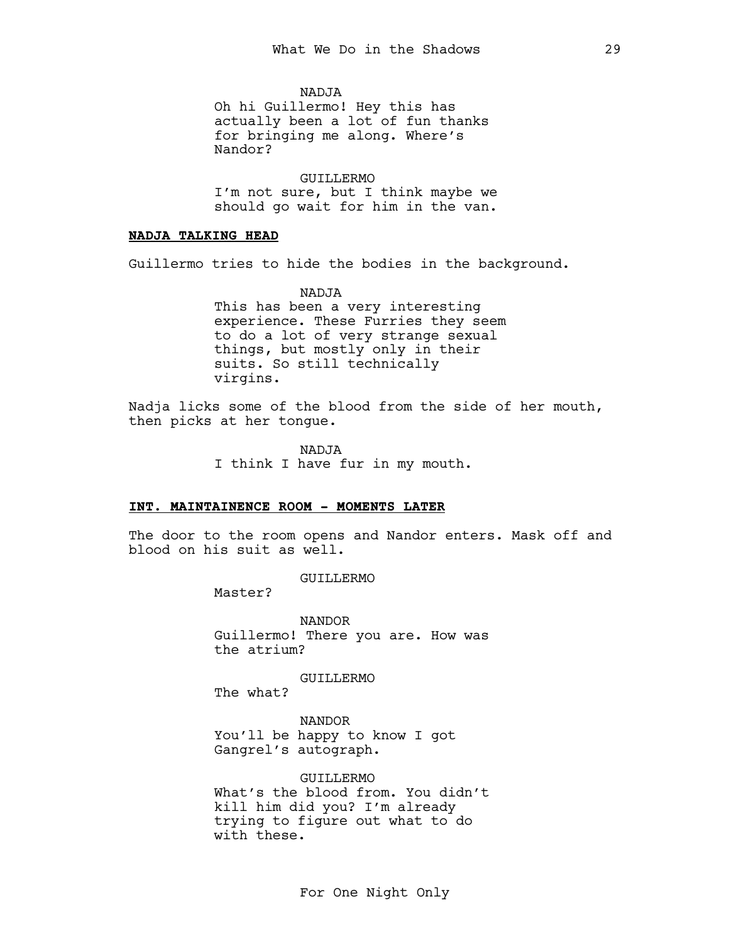NADJA

Oh hi Guillermo! Hey this has actually been a lot of fun thanks for bringing me along. Where's Nandor?

GUILLERMO I'm not sure, but I think maybe we should go wait for him in the van.

## NADJA TALKING HEAD

Guillermo tries to hide the bodies in the background.

NADJA This has been a very interesting experience. These Furries they seem to do a lot of very strange sexual things, but mostly only in their suits. So still technically virgins.

Nadja licks some of the blood from the side of her mouth, then picks at her tongue.

NADJA

I think I have fur in my mouth.

## INT. MAINTAINENCE ROOM - MOMENTS LATER

The door to the room opens and Nandor enters. Mask off and blood on his suit as well.

GUILLERMO

Master?

NANDOR Guillermo! There you are. How was the atrium?

GUILLERMO

The what?

NANDOR You'll be happy to know I got Gangrel's autograph.

GUILLERMO What's the blood from. You didn't kill him did you? I'm already trying to figure out what to do with these.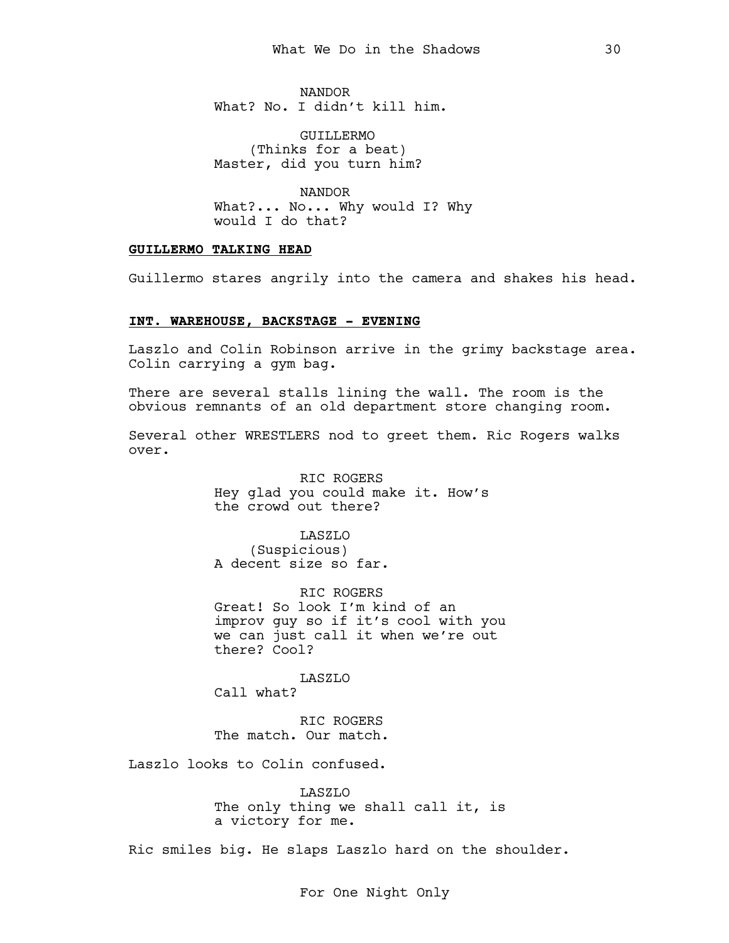NANDOR What? No. I didn't kill him.

GUILLERMO (Thinks for a beat) Master, did you turn him?

NANDOR What?... No... Why would I? Why would I do that?

## GUILLERMO TALKING HEAD

Guillermo stares angrily into the camera and shakes his head.

## INT. WAREHOUSE, BACKSTAGE - EVENING

Laszlo and Colin Robinson arrive in the grimy backstage area. Colin carrying a gym bag.

There are several stalls lining the wall. The room is the obvious remnants of an old department store changing room.

Several other WRESTLERS nod to greet them. Ric Rogers walks over.

> RIC ROGERS Hey glad you could make it. How's the crowd out there?

LASZLO (Suspicious) A decent size so far.

RIC ROGERS Great! So look I'm kind of an improv guy so if it's cool with you we can just call it when we're out there? Cool?

LASZLO Call what?

RIC ROGERS The match. Our match.

Laszlo looks to Colin confused.

LASZLO The only thing we shall call it, is a victory for me.

Ric smiles big. He slaps Laszlo hard on the shoulder.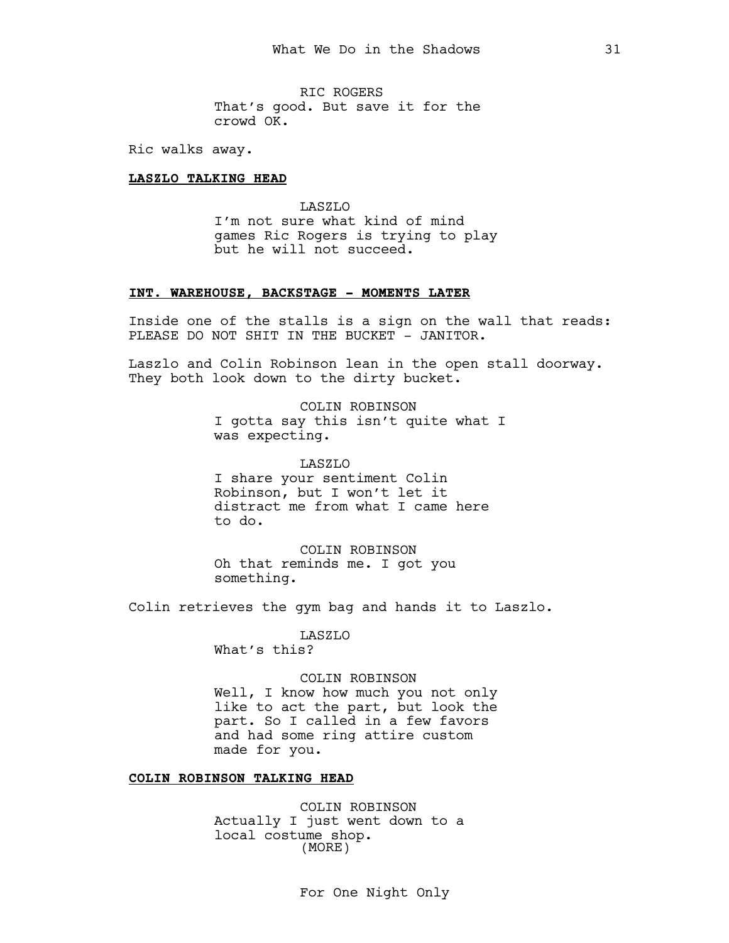RIC ROGERS That's good. But save it for the crowd OK.

Ric walks away.

## LASZLO TALKING HEAD

LASZLO I'm not sure what kind of mind games Ric Rogers is trying to play but he will not succeed.

## INT. WAREHOUSE, BACKSTAGE - MOMENTS LATER

Inside one of the stalls is a sign on the wall that reads: PLEASE DO NOT SHIT IN THE BUCKET - JANITOR.

Laszlo and Colin Robinson lean in the open stall doorway. They both look down to the dirty bucket.

> COLIN ROBINSON I gotta say this isn't quite what I was expecting.

LASZLO I share your sentiment Colin Robinson, but I won't let it distract me from what I came here to do.

COLIN ROBINSON Oh that reminds me. I got you something.

Colin retrieves the gym bag and hands it to Laszlo.

LASZLO What's this?

### COLIN ROBINSON

Well, I know how much you not only like to act the part, but look the part. So I called in a few favors and had some ring attire custom made for you.

## COLIN ROBINSON TALKING HEAD

COLIN ROBINSON Actually I just went down to a local costume shop. (MORE)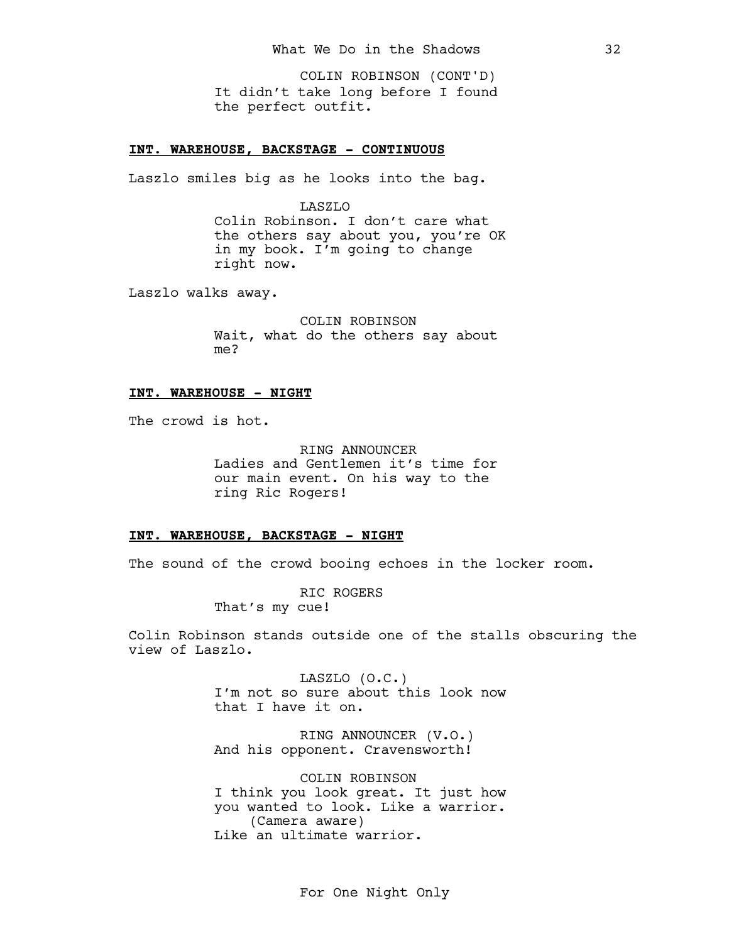It didn't take long before I found the perfect outfit. COLIN ROBINSON (CONT'D)

## INT. WAREHOUSE, BACKSTAGE - CONTINUOUS

Laszlo smiles big as he looks into the bag.

LASZLO Colin Robinson. I don't care what the others say about you, you're OK in my book. I'm going to change right now.

Laszlo walks away.

COLIN ROBINSON Wait, what do the others say about me?

### INT. WAREHOUSE - NIGHT

The crowd is hot.

RING ANNOUNCER Ladies and Gentlemen it's time for our main event. On his way to the ring Ric Rogers!

#### INT. WAREHOUSE, BACKSTAGE - NIGHT

The sound of the crowd booing echoes in the locker room.

RIC ROGERS That's my cue!

Colin Robinson stands outside one of the stalls obscuring the view of Laszlo.

> LASZLO (O.C.) I'm not so sure about this look now that I have it on.

RING ANNOUNCER (V.O.) And his opponent. Cravensworth!

COLIN ROBINSON I think you look great. It just how you wanted to look. Like a warrior. (Camera aware) Like an ultimate warrior.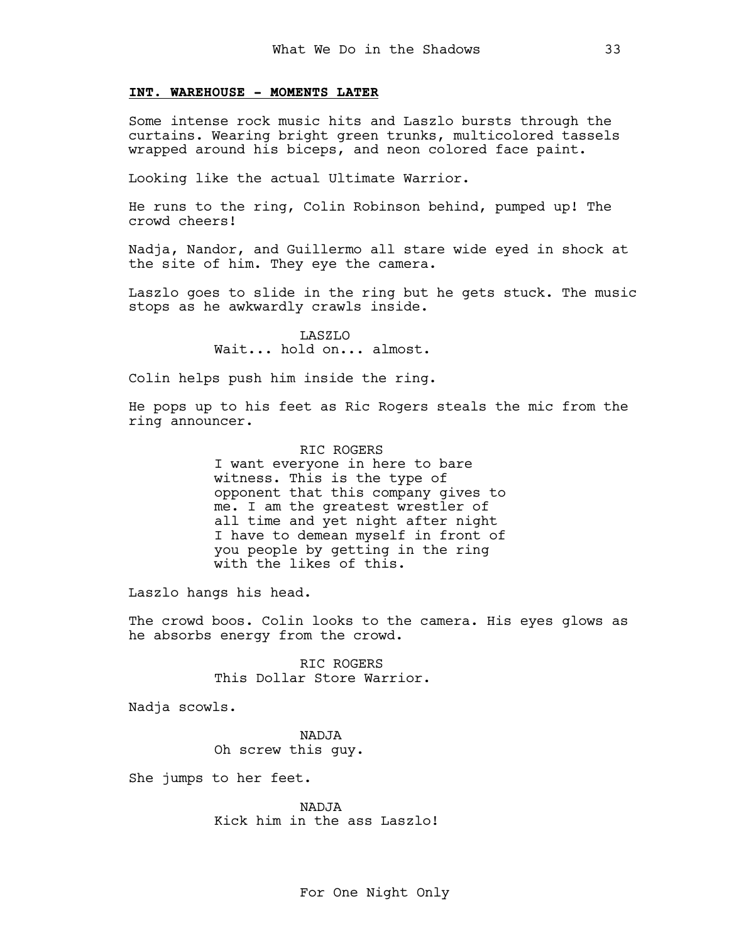## INT. WAREHOUSE - MOMENTS LATER

Some intense rock music hits and Laszlo bursts through the curtains. Wearing bright green trunks, multicolored tassels wrapped around his biceps, and neon colored face paint.

Looking like the actual Ultimate Warrior.

He runs to the ring, Colin Robinson behind, pumped up! The crowd cheers!

Nadja, Nandor, and Guillermo all stare wide eyed in shock at the site of him. They eye the camera.

Laszlo goes to slide in the ring but he gets stuck. The music stops as he awkwardly crawls inside.

> LASZLO Wait... hold on... almost.

Colin helps push him inside the ring.

He pops up to his feet as Ric Rogers steals the mic from the ring announcer.

> RIC ROGERS I want everyone in here to bare witness. This is the type of opponent that this company gives to me. I am the greatest wrestler of all time and yet night after night I have to demean myself in front of you people by getting in the ring with the likes of this.

Laszlo hangs his head.

The crowd boos. Colin looks to the camera. His eyes glows as he absorbs energy from the crowd.

> RIC ROGERS This Dollar Store Warrior.

Nadja scowls.

NADJA Oh screw this guy.

She jumps to her feet.

NADJA Kick him in the ass Laszlo!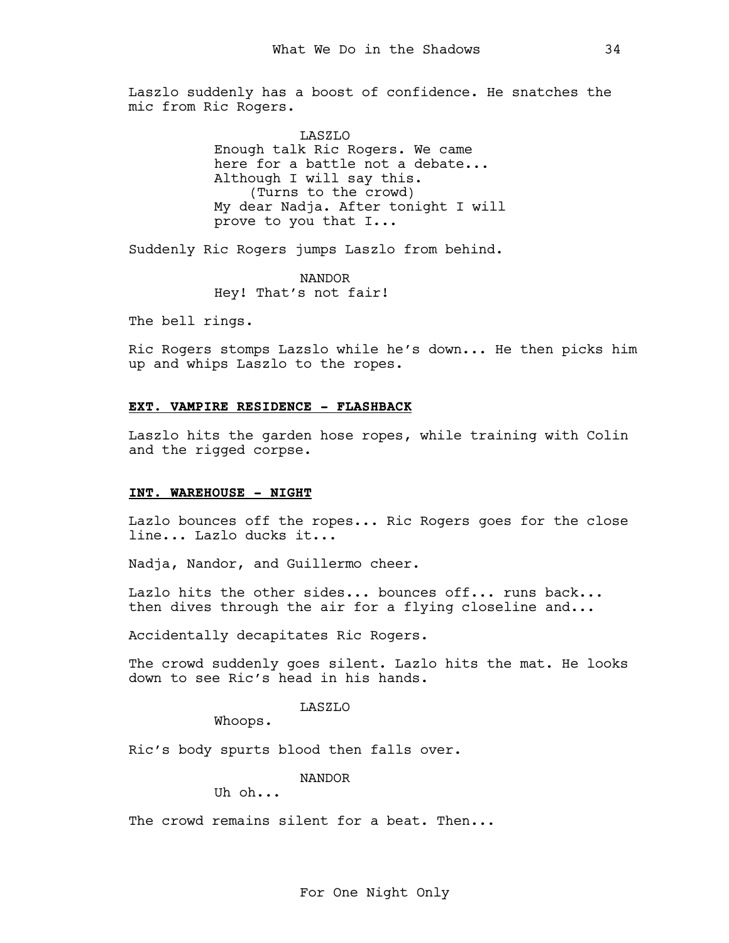Laszlo suddenly has a boost of confidence. He snatches the mic from Ric Rogers.

> LASZLO Enough talk Ric Rogers. We came here for a battle not a debate... Although I will say this. (Turns to the crowd) My dear Nadja. After tonight I will prove to you that I...

Suddenly Ric Rogers jumps Laszlo from behind.

NANDOR Hey! That's not fair!

The bell rings.

Ric Rogers stomps Lazslo while he's down... He then picks him up and whips Laszlo to the ropes.

## EXT. VAMPIRE RESIDENCE - FLASHBACK

Laszlo hits the garden hose ropes, while training with Colin and the rigged corpse.

## INT. WAREHOUSE - NIGHT

Lazlo bounces off the ropes... Ric Rogers goes for the close line... Lazlo ducks it...

Nadja, Nandor, and Guillermo cheer.

Lazlo hits the other sides... bounces off... runs back... then dives through the air for a flying closeline and...

Accidentally decapitates Ric Rogers.

The crowd suddenly goes silent. Lazlo hits the mat. He looks down to see Ric's head in his hands.

## LASZLO

Whoops.

Ric's body spurts blood then falls over.

NANDOR

Uh oh...

The crowd remains silent for a beat. Then...